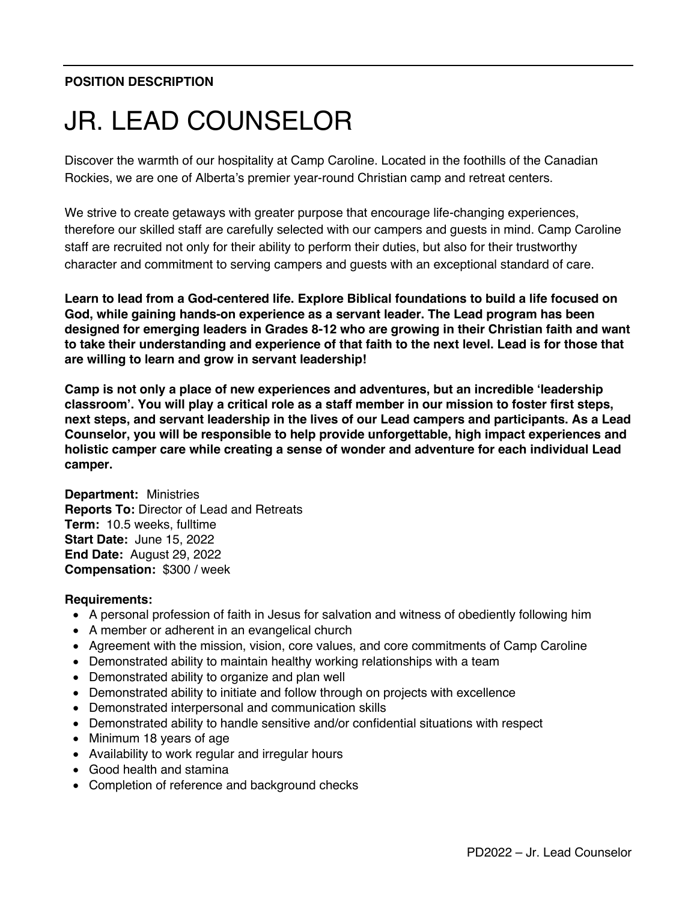## **POSITION DESCRIPTION**

# JR. LEAD COUNSELOR

Discover the warmth of our hospitality at Camp Caroline. Located in the foothills of the Canadian Rockies, we are one of Alberta's premier year-round Christian camp and retreat centers.

We strive to create getaways with greater purpose that encourage life-changing experiences, therefore our skilled staff are carefully selected with our campers and guests in mind. Camp Caroline staff are recruited not only for their ability to perform their duties, but also for their trustworthy character and commitment to serving campers and guests with an exceptional standard of care.

**Learn to lead from a God-centered life. Explore Biblical foundations to build a life focused on God, while gaining hands-on experience as a servant leader. The Lead program has been designed for emerging leaders in Grades 8-12 who are growing in their Christian faith and want to take their understanding and experience of that faith to the next level. Lead is for those that are willing to learn and grow in servant leadership!**

**Camp is not only a place of new experiences and adventures, but an incredible 'leadership classroom'. You will play a critical role as a staff member in our mission to foster first steps, next steps, and servant leadership in the lives of our Lead campers and participants. As a Lead Counselor, you will be responsible to help provide unforgettable, high impact experiences and holistic camper care while creating a sense of wonder and adventure for each individual Lead camper.**

**Department:** Ministries **Reports To:** Director of Lead and Retreats **Term:** 10.5 weeks, fulltime **Start Date:** June 15, 2022 **End Date:** August 29, 2022 **Compensation:** \$300 / week

#### **Requirements:**

- A personal profession of faith in Jesus for salvation and witness of obediently following him
- A member or adherent in an evangelical church
- Agreement with the mission, vision, core values, and core commitments of Camp Caroline
- Demonstrated ability to maintain healthy working relationships with a team
- Demonstrated ability to organize and plan well
- Demonstrated ability to initiate and follow through on projects with excellence
- Demonstrated interpersonal and communication skills
- Demonstrated ability to handle sensitive and/or confidential situations with respect
- Minimum 18 years of age
- Availability to work regular and irregular hours
- Good health and stamina
- Completion of reference and background checks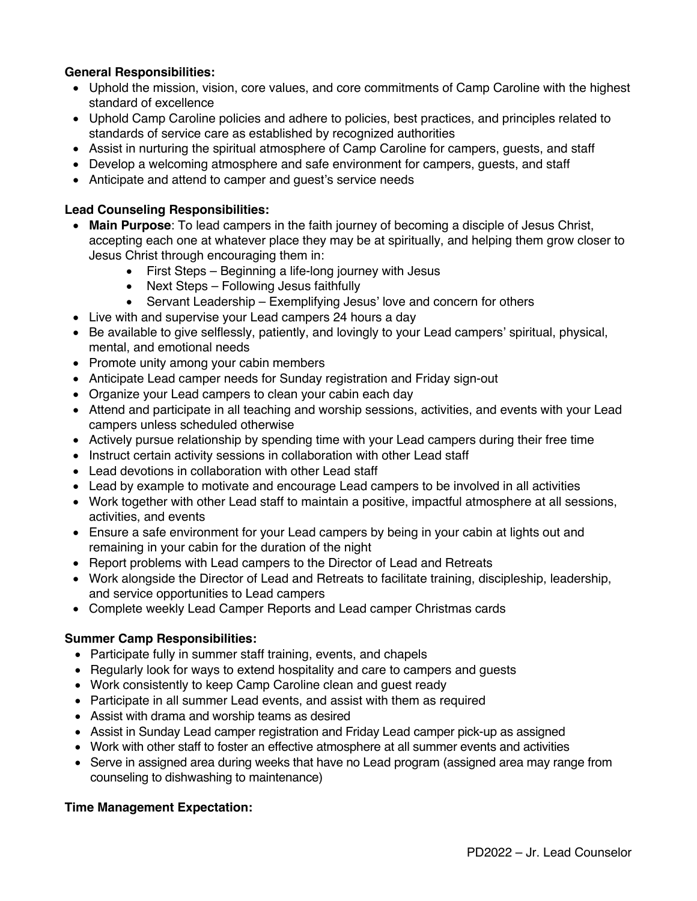### **General Responsibilities:**

- Uphold the mission, vision, core values, and core commitments of Camp Caroline with the highest standard of excellence
- Uphold Camp Caroline policies and adhere to policies, best practices, and principles related to standards of service care as established by recognized authorities
- Assist in nurturing the spiritual atmosphere of Camp Caroline for campers, guests, and staff
- Develop a welcoming atmosphere and safe environment for campers, guests, and staff
- Anticipate and attend to camper and guest's service needs

#### **Lead Counseling Responsibilities:**

- **Main Purpose**: To lead campers in the faith journey of becoming a disciple of Jesus Christ, accepting each one at whatever place they may be at spiritually, and helping them grow closer to Jesus Christ through encouraging them in:
	- First Steps Beginning a life-long journey with Jesus
	- Next Steps Following Jesus faithfully
	- Servant Leadership Exemplifying Jesus' love and concern for others
- Live with and supervise your Lead campers 24 hours a day
- Be available to give selflessly, patiently, and lovingly to your Lead campers' spiritual, physical, mental, and emotional needs
- Promote unity among your cabin members
- Anticipate Lead camper needs for Sunday registration and Friday sign-out
- Organize your Lead campers to clean your cabin each day
- Attend and participate in all teaching and worship sessions, activities, and events with your Lead campers unless scheduled otherwise
- Actively pursue relationship by spending time with your Lead campers during their free time
- Instruct certain activity sessions in collaboration with other Lead staff
- Lead devotions in collaboration with other Lead staff
- Lead by example to motivate and encourage Lead campers to be involved in all activities
- Work together with other Lead staff to maintain a positive, impactful atmosphere at all sessions, activities, and events
- Ensure a safe environment for your Lead campers by being in your cabin at lights out and remaining in your cabin for the duration of the night
- Report problems with Lead campers to the Director of Lead and Retreats
- Work alongside the Director of Lead and Retreats to facilitate training, discipleship, leadership, and service opportunities to Lead campers
- Complete weekly Lead Camper Reports and Lead camper Christmas cards

#### **Summer Camp Responsibilities:**

- Participate fully in summer staff training, events, and chapels
- Regularly look for ways to extend hospitality and care to campers and guests
- Work consistently to keep Camp Caroline clean and guest ready
- Participate in all summer Lead events, and assist with them as required
- Assist with drama and worship teams as desired
- Assist in Sunday Lead camper registration and Friday Lead camper pick-up as assigned
- Work with other staff to foster an effective atmosphere at all summer events and activities
- Serve in assigned area during weeks that have no Lead program (assigned area may range from counseling to dishwashing to maintenance)

#### **Time Management Expectation:**